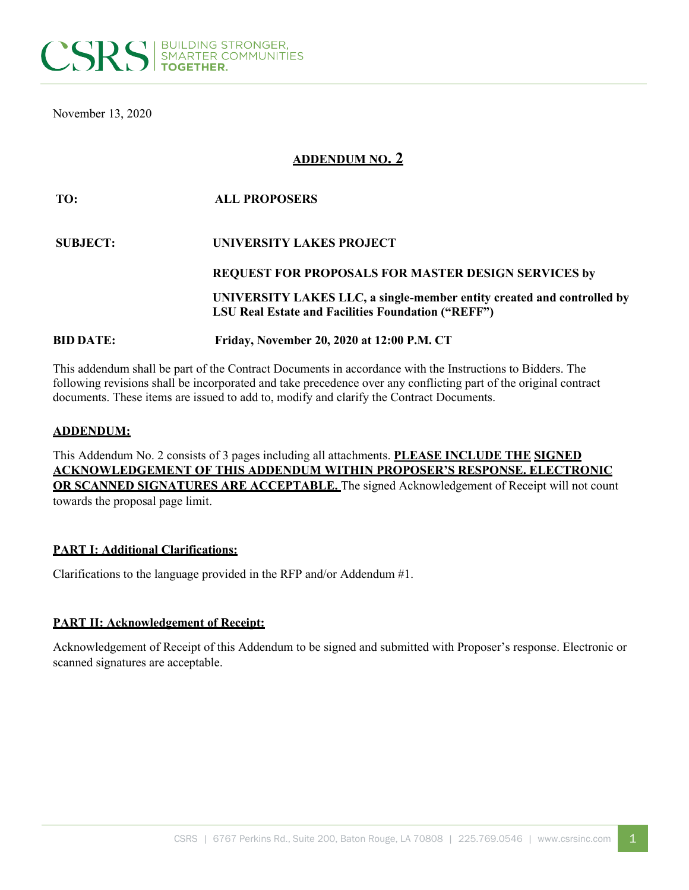

November 13, 2020

# **ADDENDUM NO. 2**

| TO:              | <b>ALL PROPOSERS</b>                                                                                                                |
|------------------|-------------------------------------------------------------------------------------------------------------------------------------|
| <b>SUBJECT:</b>  | UNIVERSITY LAKES PROJECT                                                                                                            |
|                  | <b>REQUEST FOR PROPOSALS FOR MASTER DESIGN SERVICES by</b>                                                                          |
|                  | UNIVERSITY LAKES LLC, a single-member entity created and controlled by<br><b>LSU Real Estate and Facilities Foundation ("REFF")</b> |
| <b>BID DATE:</b> | Friday, November 20, 2020 at 12:00 P.M. CT                                                                                          |

This addendum shall be part of the Contract Documents in accordance with the Instructions to Bidders. The following revisions shall be incorporated and take precedence over any conflicting part of the original contract documents. These items are issued to add to, modify and clarify the Contract Documents.

#### **ADDENDUM:**

This Addendum No. 2 consists of 3 pages including all attachments. **PLEASE INCLUDE THE SIGNED ACKNOWLEDGEMENT OF THIS ADDENDUM WITHIN PROPOSER'S RESPONSE. ELECTRONIC OR SCANNED SIGNATURES ARE ACCEPTABLE.** The signed Acknowledgement of Receipt will not count towards the proposal page limit.

#### **PART I: Additional Clarifications:**

Clarifications to the language provided in the RFP and/or Addendum #1.

#### **PART II: Acknowledgement of Receipt:**

Acknowledgement of Receipt of this Addendum to be signed and submitted with Proposer's response. Electronic or scanned signatures are acceptable.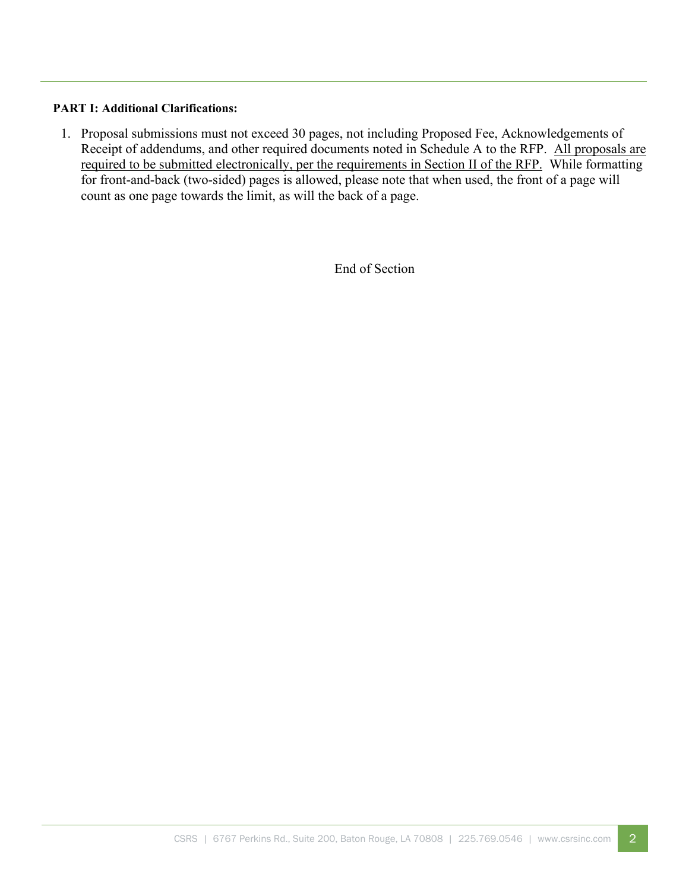# **PART I: Additional Clarifications:**

1. Proposal submissions must not exceed 30 pages, not including Proposed Fee, Acknowledgements of Receipt of addendums, and other required documents noted in Schedule A to the RFP. All proposals are required to be submitted electronically, per the requirements in Section II of the RFP. While formatting for front-and-back (two-sided) pages is allowed, please note that when used, the front of a page will count as one page towards the limit, as will the back of a page.

End of Section